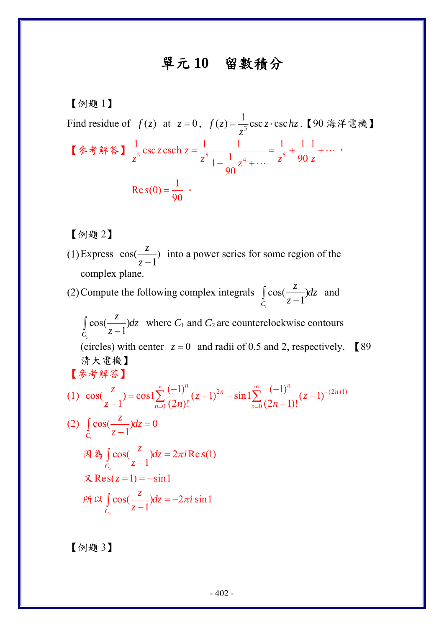## 單元 **10** 留數積分

【例題 1】 Find residue of  $f(z)$  at  $z = 0$ ,  $f(z) = \frac{1}{z^3} \csc z \cdot \csc hz$ =  $\frac{1}{z^3}$ csc z·csc *hz*.【90 海洋電機】 【參考解答】 $\frac{1}{z^3}$ csc z csch  $z = \frac{1}{z^5} \frac{1}{1 - \frac{1}{z^5}z^4 + \dots} = \frac{1}{z^5} + \frac{1}{90} \frac{1}{z^5}$ 90 *z z*  $z^3$   $z^2$   $z^4$   $z^5$   $z^6$   $z^7$  $=\frac{1}{\varsigma}$   $\frac{1}{1}$   $=\frac{1}{\varsigma}$   $+\frac{1}{\varsigma}$   $\frac{1}{\varsigma}$  $-\frac{1}{2}z^4 +$ " " ,  $\text{Re } s(0) = \frac{1}{90}$  $s(0) = \frac{1}{28}$  .

【例題 2】

(1) Express  $\cos(\frac{z}{z-1})$ *z*  $\frac{z}{z-1}$ ) into a power series for some region of the complex plane.

(2) Compute the following complex integrals  $\int_{C_1} \cos(\frac{z}{z-1})$ 1  $\frac{z}{z}$   $\frac{dz}{dz}$  $\int_C \cos(\frac{z}{z-1}) dz$  and

2  $\int\limits_{C_1} \cos(\frac{z}{z-1})$  $\frac{z}{dx}$  $\frac{dz}{dx}$  $\int_C \cos(\frac{z}{z-1}) dz$  where *C*<sub>1</sub> and *C*<sub>2</sub> are counterclockwise contours (circles) with center  $z = 0$  and radii of 0.5 and 2, respectively. **[**89] 清大電機】

【參考解答】

$$
(1) \ \cos(\frac{z}{z-1}) = \cos(\frac{z}{z-1}) = \frac{(-1)^n}{(2n)!}(z-1)^{2n} - \sin(\frac{z}{z-1}) = \frac{(-1)^n}{(2n+1)!}(z-1)^{-(2n+1)}
$$

(2) 
$$
\int_{C_1} \cos(\frac{z}{z-1}) dz = 0
$$
  
\n $\boxtimes \bigwedge_{C_2} \cos(\frac{z}{z-1}) dz = 2\pi i \operatorname{Re} s(1)$   
\n $\text{Res}(z=1) = -\sin 1$   
\n $\text{fix } \int_{C_2} \cos(\frac{z}{z-1}) dz = -2\pi i \sin 1$ 

【例題 3】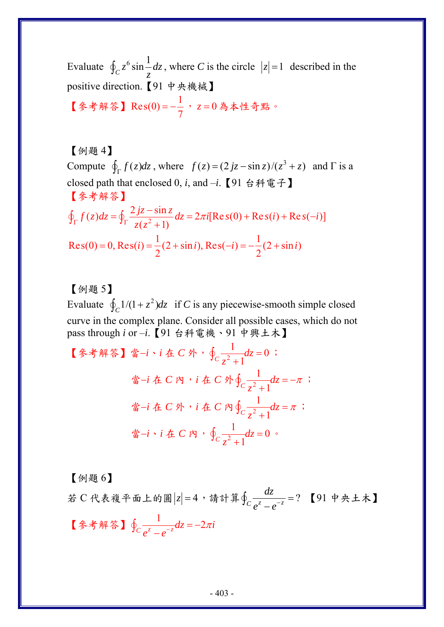Evaluate  $\oint_C z^6 \sin \frac{1}{z} dz$ , where *C* is the circle  $|z|=1$  described in the positive direction.【91 中央機械】

【參考解答】 Res(0) = --<mark>7, z=0為本性奇點。</mark>

【例題 4】 Compute  $\oint_{\Gamma} f(z) dz$ , where  $f(z) = (2jz - \sin z)/(z^3 + z)$  and  $\Gamma$  is a closed path that enclosed 0, *i*, and –*i*.【91 台科電子】 【參考解答】  $f(z)dz = \oint_{\Gamma} \frac{2jz - \sin z}{z(z^2 + 1)} dz = 2\pi i[\text{Re } s(0) + \text{Re } s(i) + \text{Re } s(-i)]$  $\oint_{\Gamma} f(z) dz = \oint_{\Gamma} \frac{2 jz - \sin z}{z(z^2 + 1)} dz = 2\pi i [\text{Re}\,s(0) + \text{Re}\,s(i) + \text{Re}\,s(-i)]$  $\oint_{\Gamma} f(z) dz = \oint_{\Gamma} \frac{2 \jmath z}{z (z^2 + z^2)}$ Res(0) = 0, Res(i) =  $\frac{1}{2}$ (2 + sin i), Res(-i) =  $-\frac{1}{2}$ (2 + sin i)  $= 0$ , Res(*i*) =  $\frac{1}{2}(2 + \sin i)$ , Res(-*i*) =  $-\frac{1}{2}(2 + \sin i)$ 

## 【例題 5】

Evaluate  $\oint_C 1/(1 + z^2) dz$  if *C* is any piecewise-smooth simple closed curve in the complex plane. Consider all possible cases, which do not pass through *i* or –*i*.【91 台科電機、91 中興土木】

\n
$$
\left[ \hat{\mathcal{F}} \cdot \hat{\mathcal{F}} \right] \cdot \hat{\mathcal{F}} \cdot i \cdot \hat{\mathcal{F}} \cdot C \cdot \hat{\mathcal{F}} \cdot \frac{1}{z^2 + 1} dz = 0
$$
\n

\n\n $\therefore \quad \hat{\mathcal{F}} \cdot i \cdot \hat{\mathcal{F}} \cdot C \cdot \hat{\mathcal{F}} \cdot \frac{1}{z^2 + 1} dz = -\pi$ \n

\n\n $\therefore \quad \hat{\mathcal{F}} \cdot i \cdot \hat{\mathcal{F}} \cdot C \cdot \hat{\mathcal{F}} \cdot \frac{1}{z^2 + 1} dz = \pi$ \n

\n\n $\therefore \quad \hat{\mathcal{F}} \cdot i \cdot \hat{\mathcal{F}} \cdot C \cdot \hat{\mathcal{F}} \cdot \frac{1}{z^2 + 1} dz = 0$ \n

【例題 6】

若 C 代表複平面上的圓 |z| = 4, 請計算 $\oint_C \frac{az}{e^z-e^{-z}} = ?$ *dz*  $\oint_C \frac{az}{e^z - e^{-z}} = ?$  【91 中央土木】 【参考解答】 $\oint_C \frac{1}{e^z - e^{-z}} dz = -2\pi i$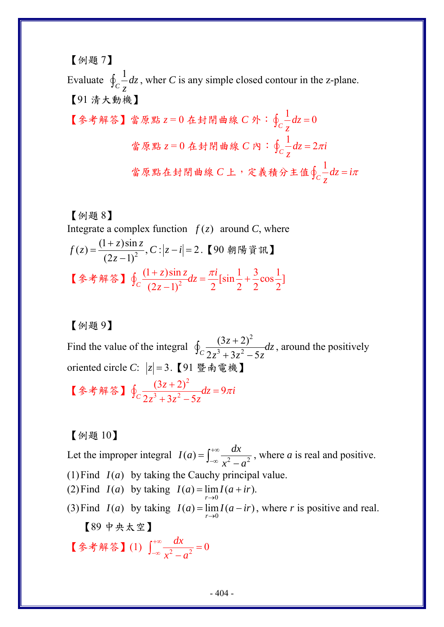[例是 7]  
\nEvaluate ⑤<sub>c</sub> 
$$
\frac{1}{z}dz
$$
, where *C* is any simple closed contour in the z-plane.  
\n[91 洴大動機]  
\n[多者解等] 営原駅 z=0 在封開曲線 C外: $⑤c\frac{1}{z}dz=0$   
\n $\dot{a}_{\bar{R}}\mathbb{R}z=0$ 在封開曲線 C内: $④c\frac{1}{z}dz=2\pi i$   
\n $\dot{a}_{\bar{R}}\mathbb{R}z=0$ 在封開曲線 C内: $②c\frac{1}{z}dz=2\pi i$   
\n $\dot{a}_{\bar{R}}\mathbb{R}z\dot{a}_{\bar{R}}\dot{b}_{\bar{R}}\dot{c}_{\bar{R}}=0$ 

【例題 8】 Integrate a complex function  $f(z)$  around *C*, where  $f(z) = \frac{(1+z)\sin z}{(2z-1)^2}$ ,  $C: |z-i|=2$ = $\frac{(1+z)\sin z}{(2z-1)^2}$ , C : |z − i| = 2.【90 朝陽資訊】 【参考解答】 $\oint_C \frac{(1+z)\sin z}{(2z-1)^2} dz = \frac{\pi i}{2} [\sin \frac{1}{2} + \frac{3}{2}\cos \frac{1}{2}]$ *z*  $+ z \sin z$ ,  $\pi$  $\oint_C \frac{(1+z)\sin z}{(2z-1)^2} dz = \frac{\pi i}{2} [\sin \frac{1}{2} +$ 

【例題 9】

Find the value of the integral 2  $3 \tcdot 2z^2$  $(3z+2)$  $C_2z^3+3z^2-5$  $\frac{(z+2)^2}{2^2}$  *dz*  $z^3 + 3z^2 - 5z$ +  $\oint_C \frac{(3z+2)}{2z^3+3z^2-5z} dz$ , around the positively oriented circle *C*:  $|z|=3$ . 【91 暨南電機】 【參考解答】 2  $\frac{(3z+2)^2}{(3z+2z^2-5z)}dz=9$  $c^2z^3+3z^2-5$  $\frac{(z+2)^2}{2} dz = 9\pi i$  $\frac{1}{z^3+3z^2-5z}dz = 9\pi$  $\oint_C \frac{(3z+2)^2}{2z^3+3z^2-5z}dz =$ 

【例題 10】

Let the improper integral  $I(a) = \int_{-\infty}^{+\infty} \frac{dx}{x^2 - a^2}$  $=\int_{-\infty}^{+\infty} \frac{dx}{x^2-a^2}$ , where *a* is real and positive. (1) Find  $I(a)$  by taking the Cauchy principal value. (2) Find  $I(a)$  by taking  $I(a) = \lim_{r \to 0} I(a + ir)$ .  $=$   $\lim I(a +$ (3) Find  $I(a)$  by taking  $I(a) = \lim_{r \to 0} I(a - ir)$ , where *r* is positive and real. 【89 中央太空】 【参考解答】(1)  $\int_{-\infty}^{+\infty} \frac{dx}{x^2 - a^2} = 0$  $\int_{-\infty}^{+\infty} \frac{dx}{x^2 - a^2} =$